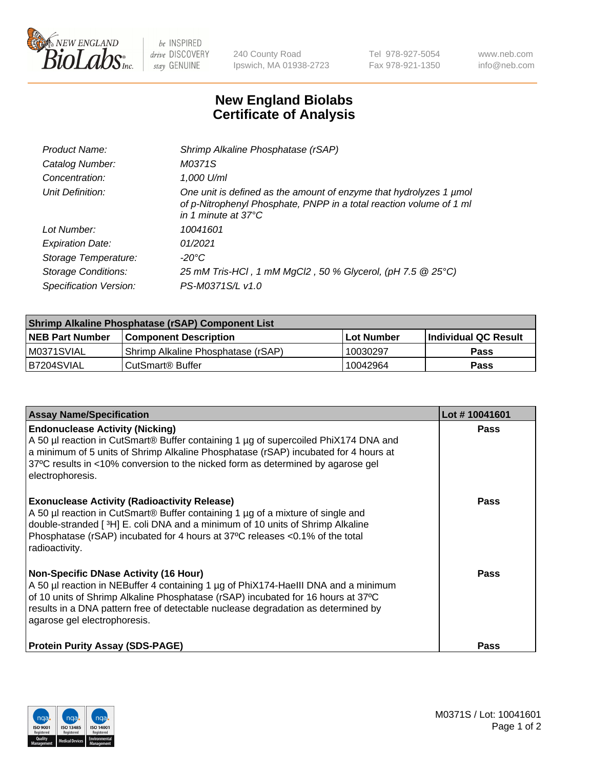

 $be$  INSPIRED drive DISCOVERY stay GENUINE

240 County Road Ipswich, MA 01938-2723 Tel 978-927-5054 Fax 978-921-1350 www.neb.com info@neb.com

## **New England Biolabs Certificate of Analysis**

| Product Name:              | Shrimp Alkaline Phosphatase (rSAP)                                                                                                                                         |
|----------------------------|----------------------------------------------------------------------------------------------------------------------------------------------------------------------------|
| Catalog Number:            | M0371S                                                                                                                                                                     |
| Concentration:             | 1,000 U/ml                                                                                                                                                                 |
| Unit Definition:           | One unit is defined as the amount of enzyme that hydrolyzes 1 µmol<br>of p-Nitrophenyl Phosphate, PNPP in a total reaction volume of 1 ml<br>in 1 minute at $37^{\circ}$ C |
| Lot Number:                | 10041601                                                                                                                                                                   |
| <b>Expiration Date:</b>    | 01/2021                                                                                                                                                                    |
| Storage Temperature:       | $-20^{\circ}$ C                                                                                                                                                            |
| <b>Storage Conditions:</b> | 25 mM Tris-HCl, 1 mM MgCl2, 50 % Glycerol, (pH 7.5 @ 25°C)                                                                                                                 |
| Specification Version:     | PS-M0371S/L v1.0                                                                                                                                                           |

| Shrimp Alkaline Phosphatase (rSAP) Component List |                                    |              |                      |  |  |
|---------------------------------------------------|------------------------------------|--------------|----------------------|--|--|
| <b>NEB Part Number</b>                            | <b>Component Description</b>       | l Lot Number | Individual QC Result |  |  |
| IM0371SVIAL                                       | Shrimp Alkaline Phosphatase (rSAP) | 10030297     | <b>Pass</b>          |  |  |
| B7204SVIAL                                        | CutSmart® Buffer                   | 10042964     | Pass                 |  |  |

| <b>Assay Name/Specification</b>                                                                                                                                                                                                                                                                                                             | Lot #10041601 |
|---------------------------------------------------------------------------------------------------------------------------------------------------------------------------------------------------------------------------------------------------------------------------------------------------------------------------------------------|---------------|
| <b>Endonuclease Activity (Nicking)</b><br>A 50 µl reaction in CutSmart® Buffer containing 1 µg of supercoiled PhiX174 DNA and<br>a minimum of 5 units of Shrimp Alkaline Phosphatase (rSAP) incubated for 4 hours at<br>37°C results in <10% conversion to the nicked form as determined by agarose gel<br>electrophoresis.                 | <b>Pass</b>   |
| <b>Exonuclease Activity (Radioactivity Release)</b><br>A 50 µl reaction in CutSmart® Buffer containing 1 µg of a mixture of single and<br>double-stranded [3H] E. coli DNA and a minimum of 10 units of Shrimp Alkaline<br>Phosphatase (rSAP) incubated for 4 hours at 37°C releases <0.1% of the total<br>radioactivity.                   | <b>Pass</b>   |
| <b>Non-Specific DNase Activity (16 Hour)</b><br>A 50 µl reaction in NEBuffer 4 containing 1 µg of PhiX174-HaellI DNA and a minimum<br>of 10 units of Shrimp Alkaline Phosphatase (rSAP) incubated for 16 hours at 37°C<br>results in a DNA pattern free of detectable nuclease degradation as determined by<br>agarose gel electrophoresis. | Pass          |
| <b>Protein Purity Assay (SDS-PAGE)</b>                                                                                                                                                                                                                                                                                                      | <b>Pass</b>   |